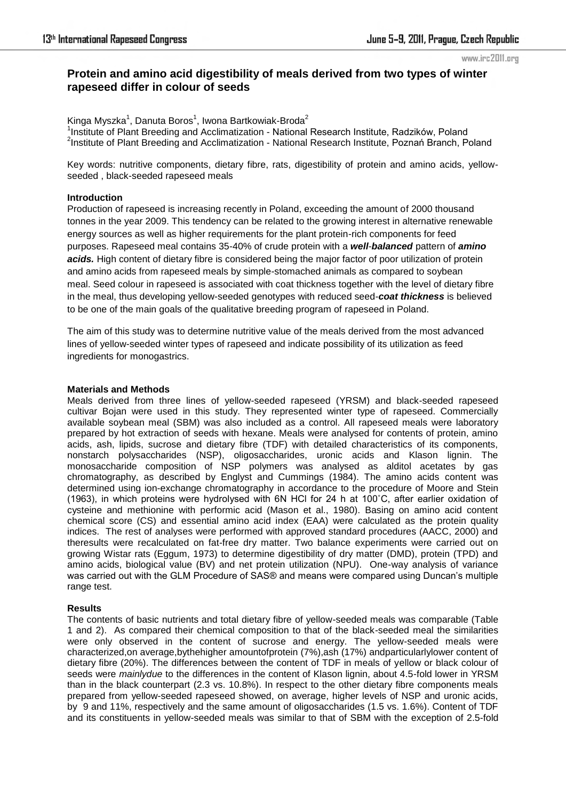# **Protein and amino acid digestibility of meals derived from two types of winter rapeseed differ in colour of seeds**

Kinga Myszka $^1$ , Danuta Boros $^1$ , Iwona Bartkowiak-Broda $^2$ <sup>1</sup>Institute of Plant Breeding and Acclimatization - National Research Institute, Radzików, Poland <sup>2</sup>Institute of Plant Breeding and Acclimatization - National Research Institute, Poznań Branch, Poland

Key words: nutritive components, dietary fibre, rats, digestibility of protein and amino acids, yellowseeded , black-seeded rapeseed meals

### **Introduction**

Production of rapeseed is increasing recently in Poland, exceeding the amount of 2000 thousand tonnes in the year 2009. This tendency can be related to the growing interest in alternative renewable energy sources as well as higher requirements for the plant protein-rich components for feed purposes. Rapeseed meal contains 35-40% of crude protein with a *well-balanced* pattern of *amino*  acids. High content of dietary fibre is considered being the major factor of poor utilization of protein and amino acids from rapeseed meals by simple-stomached animals as compared to soybean meal. Seed colour in rapeseed is associated with coat thickness together with the level of dietary fibre in the meal, thus developing yellow-seeded genotypes with reduced seed-*coat thickness* is believed to be one of the main goals of the qualitative breeding program of rapeseed in Poland.

The aim of this study was to determine nutritive value of the meals derived from the most advanced lines of yellow-seeded winter types of rapeseed and indicate possibility of its utilization as feed ingredients for monogastrics.

### **Materials and Methods**

Meals derived from three lines of yellow-seeded rapeseed (YRSM) and black-seeded rapeseed cultivar Bojan were used in this study. They represented winter type of rapeseed. Commercially available soybean meal (SBM) was also included as a control. All rapeseed meals were laboratory prepared by hot extraction of seeds with hexane. Meals were analysed for contents of protein, amino acids, ash, lipids, sucrose and dietary fibre (TDF) with detailed characteristics of its components, nonstarch polysaccharides (NSP), oligosaccharides, uronic acids and Klason lignin. The monosaccharide composition of NSP polymers was analysed as alditol acetates by gas chromatography, as described by Englyst and Cummings (1984). The amino acids content was determined using ion-exchange chromatography in accordance to the procedure of Moore and Stein (1963), in which proteins were hydrolysed with 6N HCl for 24 h at 100˚C, after earlier oxidation of cysteine and methionine with performic acid (Mason et al., 1980). Basing on amino acid content chemical score (CS) and essential amino acid index (EAA) were calculated as the protein quality indices. The rest of analyses were performed with approved standard procedures (AACC, 2000) and theresults were recalculated on fat-free dry matter. Two balance experiments were carried out on growing Wistar rats (Eggum, 1973) to determine digestibility of dry matter (DMD), protein (TPD) and amino acids, biological value (BV) and net protein utilization (NPU). One-way analysis of variance was carried out with the GLM Procedure of SAS® and means were compared using Duncan's multiple range test.

## **Results**

The contents of basic nutrients and total dietary fibre of yellow-seeded meals was comparable (Table 1 and 2). As compared their chemical composition to that of the black-seeded meal the similarities were only observed in the content of sucrose and energy. The yellow-seeded meals were characterized, on average, by the higher amountof protein (7%), ash (17%) and particularly lower content of dietary fibre (20%). The differences between the content of TDF in meals of yellow or black colour of seeds were *mainlydue* to the differences in the content of Klason lignin, about 4.5-fold lower in YRSM than in the black counterpart (2.3 vs. 10.8%). In respect to the other dietary fibre components meals prepared from yellow-seeded rapeseed showed, on average, higher levels of NSP and uronic acids, by 9 and 11%, respectively and the same amount of oligosaccharides (1.5 vs. 1.6%). Content of TDF and its constituents in yellow-seeded meals was similar to that of SBM with the exception of 2.5-fold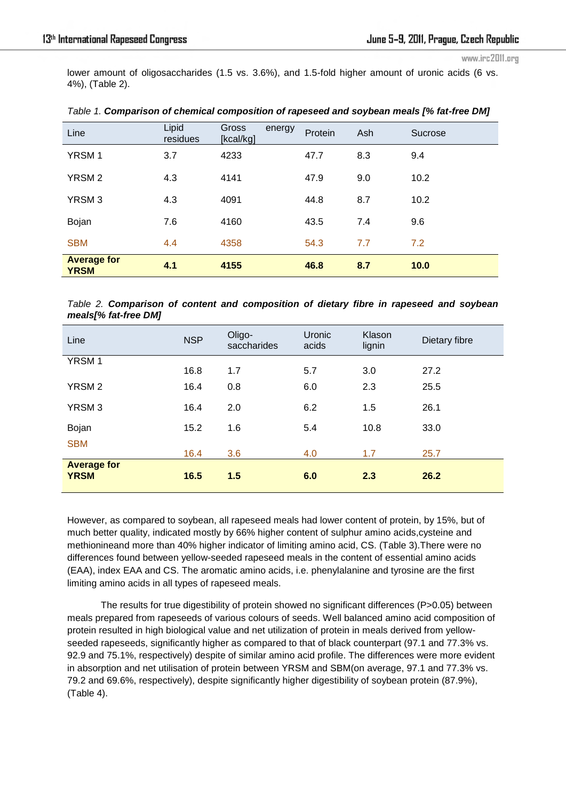lower amount of oligosaccharides (1.5 vs. 3.6%), and 1.5-fold higher amount of uronic acids (6 vs. 4%), (Table 2).

| Line                              | Lipid<br>residues | Gross<br>[kcal/kg] | energy | Protein | Ash | Sucrose |
|-----------------------------------|-------------------|--------------------|--------|---------|-----|---------|
| YRSM <sub>1</sub>                 | 3.7               | 4233               |        | 47.7    | 8.3 | 9.4     |
| YRSM <sub>2</sub>                 | 4.3               | 4141               |        | 47.9    | 9.0 | 10.2    |
| YRSM <sub>3</sub>                 | 4.3               | 4091               |        | 44.8    | 8.7 | 10.2    |
| Bojan                             | 7.6               | 4160               |        | 43.5    | 7.4 | 9.6     |
| <b>SBM</b>                        | 4.4               | 4358               |        | 54.3    | 7.7 | 7.2     |
| <b>Average for</b><br><b>YRSM</b> | 4.1               | 4155               |        | 46.8    | 8.7 | 10.0    |

*Table 1. Comparison of chemical composition of rapeseed and soybean meals [% fat-free DM]*

*Table 2. Comparison of content and composition of dietary fibre in rapeseed and soybean meals[% fat-free DM]*

| Line                              | <b>NSP</b> | Oligo-<br>saccharides | Uronic<br>acids | Klason<br>lignin | Dietary fibre |
|-----------------------------------|------------|-----------------------|-----------------|------------------|---------------|
| <b>YRSM1</b>                      | 16.8       | 1.7                   | 5.7             | 3.0              | 27.2          |
| <b>YRSM2</b>                      | 16.4       | 0.8                   | 6.0             | 2.3              | 25.5          |
| YRSM <sub>3</sub>                 | 16.4       | 2.0                   | 6.2             | 1.5              | 26.1          |
| Bojan                             | 15.2       | 1.6                   | 5.4             | 10.8             | 33.0          |
| <b>SBM</b>                        | 16.4       | 3.6                   | 4.0             | 1.7              | 25.7          |
| <b>Average for</b><br><b>YRSM</b> | 16.5       | 1.5                   | 6.0             | 2.3              | 26.2          |

However, as compared to soybean, all rapeseed meals had lower content of protein, by 15%, but of much better quality, indicated mostly by 66% higher content of sulphur amino acids,cysteine and methionineand more than 40% higher indicator of limiting amino acid, CS. (Table 3).There were no differences found between yellow-seeded rapeseed meals in the content of essential amino acids (EAA), index EAA and CS. The aromatic amino acids, i.e. phenylalanine and tyrosine are the first limiting amino acids in all types of rapeseed meals.

 The results for true digestibility of protein showed no significant differences (P>0.05) between meals prepared from rapeseeds of various colours of seeds. Well balanced amino acid composition of protein resulted in high biological value and net utilization of protein in meals derived from yellowseeded rapeseeds, significantly higher as compared to that of black counterpart (97.1 and 77.3% vs. 92.9 and 75.1%, respectively) despite of similar amino acid profile. The differences were more evident in absorption and net utilisation of protein between YRSM and SBM(on average, 97.1 and 77.3% vs. 79.2 and 69.6%, respectively), despite significantly higher digestibility of soybean protein (87.9%), (Table 4).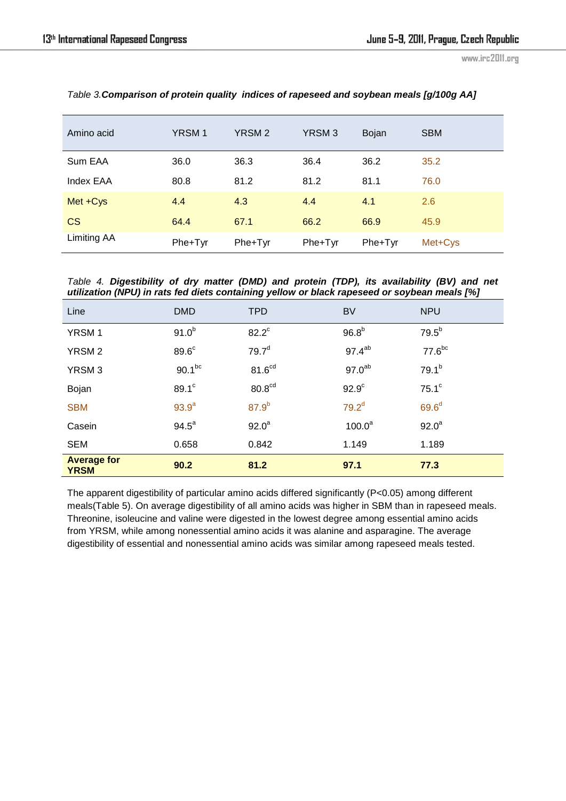| Amino acid  | <b>YRSM1</b> | YRSM <sub>2</sub> | YRSM <sub>3</sub> | Bojan   | <b>SBM</b> |
|-------------|--------------|-------------------|-------------------|---------|------------|
| Sum EAA     | 36.0         | 36.3              | 36.4              | 36.2    | 35.2       |
| Index EAA   | 80.8         | 81.2              | 81.2              | 81.1    | 76.0       |
| Met +Cys    | 4.4          | 4.3               | 4.4               | 4.1     | 2.6        |
| <b>CS</b>   | 64.4         | 67.1              | 66.2              | 66.9    | 45.9       |
| Limiting AA | Phe+Tyr      | Phe+Tyr           | Phe+Tyr           | Phe+Tyr | Met+Cys    |

*Table 3.Comparison of protein quality indices of rapeseed and soybean meals [g/100g AA]*

*Table 4. Digestibility of dry matter (DMD) and protein (TDP), its availability (BV) and net utilization (NPU) in rats fed diets containing yellow or black rapeseed or soybean meals [%]*

| Line                              | <b>DMD</b>        | <b>TPD</b>         | <b>BV</b>          | <b>NPU</b>         |
|-----------------------------------|-------------------|--------------------|--------------------|--------------------|
| <b>YRSM1</b>                      | $91.0^{b}$        | $82.2^{\circ}$     | 96.8 <sup>b</sup>  | $79.5^{b}$         |
| <b>YRSM2</b>                      | 89.6 <sup>c</sup> | 79.7 <sup>d</sup>  | 97.4 <sup>ab</sup> | 77.6 <sup>bc</sup> |
| YRSM <sub>3</sub>                 | $90.1^{bc}$       | 81.6 <sup>cd</sup> | 97.0 <sup>ab</sup> | $79.1^{b}$         |
| Bojan                             | 89.1 <sup>c</sup> | 80.8 <sup>cd</sup> | 92.9 <sup>c</sup>  | $75.1^\circ$       |
| <b>SBM</b>                        | 93.9 <sup>a</sup> | 87.9 <sup>b</sup>  | 79.2 <sup>d</sup>  | 69.6 <sup>d</sup>  |
| Casein                            | $94.5^a$          | $92.0^a$           | $100.0^a$          | $92.0^a$           |
| <b>SEM</b>                        | 0.658             | 0.842              | 1.149              | 1.189              |
| <b>Average for</b><br><b>YRSM</b> | 90.2              | 81.2               | 97.1               | 77.3               |

The apparent digestibility of particular amino acids differed significantly (P<0.05) among different meals(Table 5). On average digestibility of all amino acids was higher in SBM than in rapeseed meals. Threonine, isoleucine and valine were digested in the lowest degree among essential amino acids from YRSM, while among nonessential amino acids it was alanine and asparagine. The average digestibility of essential and nonessential amino acids was similar among rapeseed meals tested.